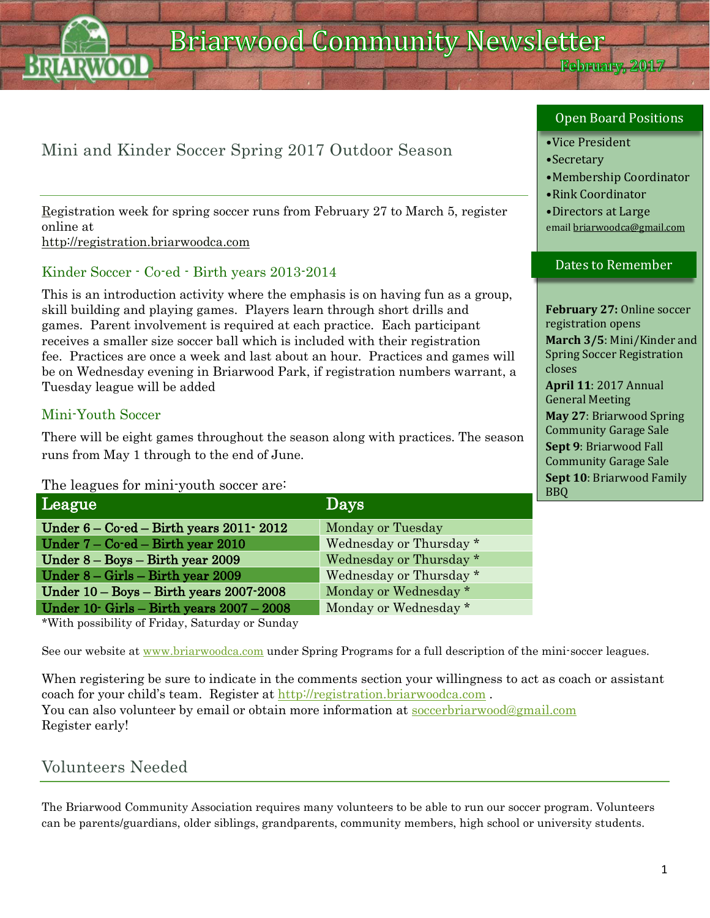February, 2017

# Mini and Kinder Soccer Spring 2017 Outdoor Season

Registration week for spring soccer runs from February 27 to March 5, register online at

[http://registration.briarwoodca.com](http://registration.briarwoodca.com/)

## Kinder Soccer - Co-ed - Birth years 2013-2014

This is an introduction activity where the emphasis is on having fun as a group, skill building and playing games. Players learn through short drills and games. Parent involvement is required at each practice. Each participant receives a smaller size soccer ball which is included with their registration fee. Practices are once a week and last about an hour. Practices and games will be on Wednesday evening in Briarwood Park, if registration numbers warrant, a Tuesday league will be added

## Mini-Youth Soccer

There will be eight games throughout the season along with practices. The season runs from May 1 through to the end of June.

The leagues for mini-youth soccer are:

| League                                                  | Days                    | <u>vuv</u> |
|---------------------------------------------------------|-------------------------|------------|
| Under $6 - \text{Co-ed} - \text{Birth}$ years 2011-2012 | Monday or Tuesday       |            |
| Under 7 – Co-ed – Birth year 2010                       | Wednesday or Thursday * |            |
| Under $8 - Boys - Birth$ year 2009                      | Wednesday or Thursday * |            |
| Under $8 -$ Girls $-$ Birth year 2009                   | Wednesday or Thursday * |            |
| Under $10 - Boys - Birth \ years 2007 - 2008$           | Monday or Wednesday *   |            |
| Under $10$ Girls – Birth years $2007 - 2008$            | Monday or Wednesday *   |            |

\*With possibility of Friday, Saturday or Sunday

See our website at [www.briarwoodca.com](http://www.briarwoodca.com/) under Spring Programs for a full description of the mini-soccer leagues.

When registering be sure to indicate in the comments section your willingness to act as coach or assistant coach for your child's team. Register at [http://registration.briarwoodca.com](http://registration.briarwoodca.com/). You can also volunteer by email or obtain more information at [soccerbriarwood@gmail.com](mailto:soccerbriarwood@gmail.com) Register early!

## Volunteers Needed

The Briarwood Community Association requires many volunteers to be able to run our soccer program. Volunteers can be parents/guardians, older siblings, grandparents, community members, high school or university students.

#### Open Board Positions

#### •Vice President

- •Secretary
- •Membership Coordinator
- •Rink Coordinator
- •Directors at Large emai[l briarwoodca@gmail.com](mailto:briarwoodca@gmail.com)

#### Dates to Remember

**February 27:** Online soccer registration opens **March 3/5**: Mini/Kinder and Spring Soccer Registration closes **April 11**: 2017 Annual General Meeting **May 27**: Briarwood Spring Community Garage Sale **Sept 9**: Briarwood Fall Community Garage Sale **Sept 10**: Briarwood Family  $\overline{B}$